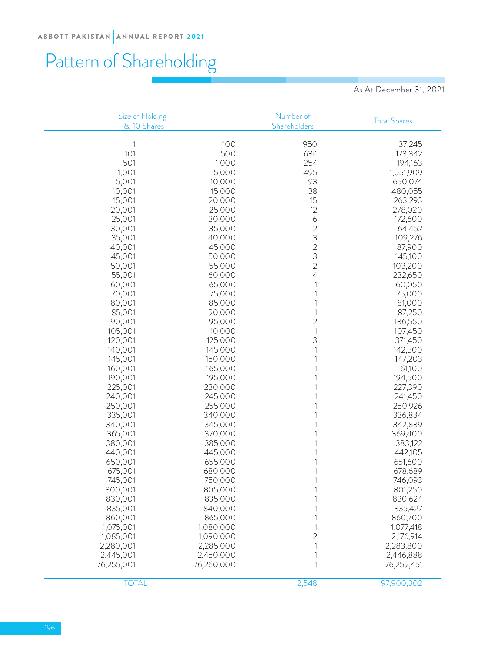# Pattern of Shareholding

As At December 31, 2021

| Size of Holding<br>Rs. 10 Shares |            | Number of<br>Shareholders                  | <b>Total Shares</b> |
|----------------------------------|------------|--------------------------------------------|---------------------|
|                                  |            |                                            |                     |
| 1                                | 100        | 950                                        | 37,245              |
| 101                              | 500        | 634                                        | 173,342             |
| 501                              | 1,000      | 254                                        | 194,163             |
| 1,001                            | 5,000      | 495                                        | 1,051,909           |
| 5,001                            | 10,000     | 93                                         | 650,074             |
| 10,001                           | 15,000     | 38                                         | 480,055             |
| 15,001                           | 20,000     | 15                                         | 263,293             |
| 20,001                           | 25,000     | 12                                         | 278,020             |
| 25,001                           | 30,000     | 6                                          | 172,600             |
| 30,001                           | 35,000     | $\overline{c}$                             | 64,452              |
| 35,001                           | 40,000     | 3                                          | 109,276             |
| 40,001                           | 45,000     | $\begin{array}{c} 2 \\ 3 \\ 2 \end{array}$ | 87,900              |
| 45,001                           | 50,000     |                                            | 145,100             |
| 50,001                           | 55,000     |                                            | 103,200             |
| 55,001                           | 60,000     | 4                                          | 232,650             |
| 60,001                           | 65,000     |                                            | 60,050              |
| 70,001                           | 75,000     |                                            | 75,000              |
| 80,001                           | 85,000     |                                            | 81,000              |
| 85,001                           | 90,000     |                                            | 87,250              |
| 90,001                           | 95,000     | $\overline{c}$                             | 186,550             |
| 105,001                          | 110,000    | $\mathbf{1}$                               | 107,450             |
| 120,001                          | 125,000    | 3                                          | 371,450             |
| 140,001                          | 145,000    |                                            | 142,500             |
| 145,001                          | 150,000    |                                            | 147,203             |
| 160,001                          | 165,000    |                                            | 161,100             |
| 190,001                          | 195,000    |                                            | 194,500             |
| 225,001                          | 230,000    |                                            | 227,390             |
| 240,001                          | 245,000    |                                            | 241,450             |
| 250,001                          | 255,000    |                                            | 250,926             |
| 335,001                          | 340,000    |                                            | 336,834             |
| 340,001                          | 345,000    |                                            | 342,889             |
| 365,001                          | 370,000    |                                            | 369,400             |
| 380,001                          | 385,000    |                                            | 383,122             |
| 440,001                          | 445,000    |                                            | 442,105             |
| 650,001                          | 655,000    |                                            | 651,600             |
| 675,001                          | 680,000    |                                            | 678,689             |
| 745,001                          | 750,000    |                                            | 746,093             |
| 800,001                          | 805,000    |                                            | 801,250             |
| 830,001                          | 835,000    |                                            | 830,624             |
| 835,001                          | 840,000    |                                            | 835,427             |
| 860,001                          | 865,000    |                                            | 860,700             |
| 1,075,001                        | 1,080,000  |                                            | 1,077,418           |
| 1,085,001                        | 1,090,000  | 2                                          | 2,176,914           |
| 2,280,001                        | 2,285,000  |                                            | 2,283,800           |
| 2,445,001                        | 2,450,000  |                                            |                     |
|                                  | 76,260,000 |                                            | 2,446,888           |
| 76,255,001                       |            |                                            | 76,259,451          |
| <b>TOTAL</b>                     |            | 2,548                                      | 97,900,302          |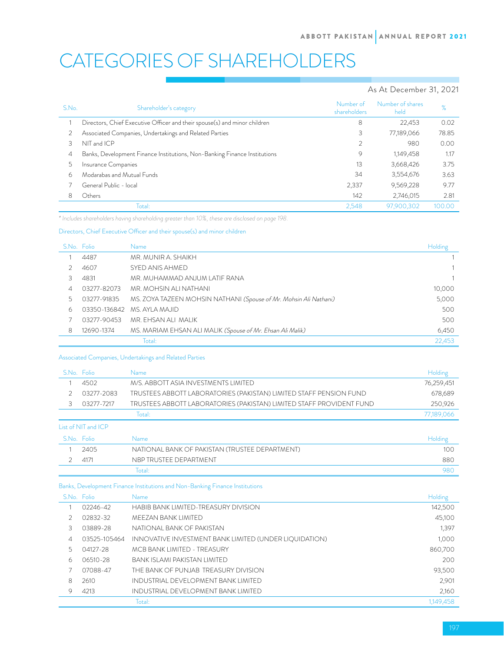# CATEGORIES OF SHAREHOLDERS

## As At December 31, 2021

| S.No. | Shareholder's category                                                    | Number of<br>shareholders | Number of shares<br>held | %      |
|-------|---------------------------------------------------------------------------|---------------------------|--------------------------|--------|
|       | Directors, Chief Executive Officer and their spouse(s) and minor children | 8                         | 22,453                   | 0.02   |
|       | Associated Companies, Undertakings and Related Parties                    | 3                         | 77,189,066               | 78.85  |
| 3     | NIT and ICP                                                               | 2                         | 980                      | 0.00   |
| 4     | Banks, Development Finance Institutions, Non-Banking Finance Institutions | 9                         | 1,149,458                | 1.17   |
| 5     | Insurance Companies                                                       | 13                        | 3,668,426                | 3.75   |
| 6     | Modarabas and Mutual Funds                                                | 34                        | 3,554,676                | 3.63   |
|       | General Public - local                                                    | 2,337                     | 9,569,228                | 9.77   |
| 8     | Others                                                                    | 142                       | 2,746,015                | 2.81   |
|       | Total:                                                                    | 2,548                     | 97,900,302               | 100.00 |

*\* Includes shareholders having shareholding greater than 10%, these are disclosed on page 198.*

#### Directors, Chief Executive Officer and their spouse(s) and minor children

|    | S.No. Folio | Name                                                              | Holding |
|----|-------------|-------------------------------------------------------------------|---------|
|    | 4487        | MR. MUNIR A. SHAIKH                                               |         |
|    | 4607        | SYED ANIS AHMED                                                   |         |
| 3. | 4831        | MR. MUHAMMAD ANJUM LATIF RANA                                     |         |
| 4  | 03277-82073 | MR. MOHSIN ALI NATHANI                                            | 10,000  |
|    | 03277-91835 | MS. ZOYA TAZEEN MOHSIN NATHANI (Spouse of Mr. Mohsin Ali Nathani) | 5,000   |
| 6  |             | 03350-136842 MS, AYLA MAJID                                       | 500     |
|    | 03277-90453 | MR. FHSAN ALL MALIK                                               | 500     |
| 8  | 12690-1374  | MS. MARIAM EHSAN ALI MALIK (Spouse of Mr. Ehsan Ali Malik)        | 6,450   |
|    |             | Total:                                                            | 22,453  |

#### Associated Companies, Undertakings and Related Parties

|             | S.No. Folio         | <b>Name</b>                                                          | Holding    |  |  |
|-------------|---------------------|----------------------------------------------------------------------|------------|--|--|
|             | 4502                | M/S. ABBOTT ASIA INVESTMENTS I IMITED                                | 76,259,451 |  |  |
|             | 03277-2083          | TRUSTEES ABBOTT LABORATORIES (PAKISTAN) LIMITED STAFF PENSION FUND   | 678,689    |  |  |
| 3           | 03277-7217          | TRUSTEES ABBOTT LABORATORIES (PAKISTAN) LIMITED STAFF PROVIDENT FUND | 250,926    |  |  |
|             |                     | Total:                                                               | 77,189,066 |  |  |
|             | List of NIT and ICP |                                                                      |            |  |  |
| S.No. Folio |                     | Name                                                                 | Holding    |  |  |
|             | 2405                | NATIONAL BANK OF PAKISTAN (TRUSTEE DEPARTMENT)                       | 100        |  |  |
|             | 4171                | NBP TRUSTEE DEPARTMENT                                               | 880        |  |  |
|             |                     | Total:                                                               | 980        |  |  |

## Banks, Development Finance Institutions and Non-Banking Finance Institutions

|   | S.No. Folio  | Name                                                   | Holding   |
|---|--------------|--------------------------------------------------------|-----------|
|   | 02246-42     | HABIB BANK I IMITED-TREASURY DIVISION                  | 142,500   |
|   | 02832-32     | MEEZAN BANK LIMITED                                    | 45,100    |
| 3 | 03889-28     | NATIONAL BANK OF PAKISTAN                              | 1,397     |
| 4 | 03525-105464 | INNOVATIVE INVESTMENT BANK LIMITED (UNDER LIQUIDATION) | 1,000     |
|   | 04127-28     | MCB BANK LIMITED - TREASURY                            | 860,700   |
| 6 | 06510-28     | BANK ISI AMI PAKISTAN I IMITED                         | 200       |
|   | 07088-47     | THE BANK OF PUNJAB TREASURY DIVISION                   | 93,500    |
| 8 | 2610         | INDUSTRIAL DEVELOPMENT BANK LIMITED                    | 2,901     |
| 9 | 4213         | INDUSTRIAL DEVELOPMENT BANK LIMITED                    | 2,160     |
|   |              | Total:                                                 | 1,149,458 |